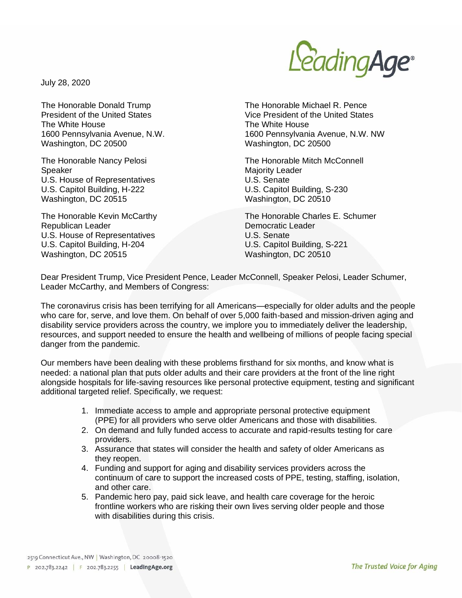

July 28, 2020

The Honorable Donald Trump President of the United States The White House 1600 Pennsylvania Avenue, N.W. Washington, DC 20500

The Honorable Nancy Pelosi Speaker U.S. House of Representatives U.S. Capitol Building, H-222 Washington, DC 20515

The Honorable Kevin McCarthy Republican Leader U.S. House of Representatives U.S. Capitol Building, H-204 Washington, DC 20515

The Honorable Michael R. Pence Vice President of the United States The White House 1600 Pennsylvania Avenue, N.W. NW Washington, DC 20500

The Honorable Mitch McConnell Majority Leader U.S. Senate U.S. Capitol Building, S-230 Washington, DC 20510

The Honorable Charles E. Schumer Democratic Leader U.S. Senate U.S. Capitol Building, S-221 Washington, DC 20510

Dear President Trump, Vice President Pence, Leader McConnell, Speaker Pelosi, Leader Schumer, Leader McCarthy, and Members of Congress:

The coronavirus crisis has been terrifying for all Americans—especially for older adults and the people who care for, serve, and love them. On behalf of over 5,000 faith-based and mission-driven aging and disability service providers across the country, we implore you to immediately deliver the leadership, resources, and support needed to ensure the health and wellbeing of millions of people facing special danger from the pandemic.

Our members have been dealing with these problems firsthand for six months, and know what is needed: a national plan that puts older adults and their care providers at the front of the line right alongside hospitals for life-saving resources like personal protective equipment, testing and significant additional targeted relief. Specifically, we request:

- 1. Immediate access to ample and appropriate personal protective equipment (PPE) for all providers who serve older Americans and those with disabilities.
- 2. On demand and fully funded access to accurate and rapid-results testing for care providers.
- 3. Assurance that states will consider the health and safety of older Americans as they reopen.
- 4. Funding and support for aging and disability services providers across the continuum of care to support the increased costs of PPE, testing, staffing, isolation, and other care.
- 5. Pandemic hero pay, paid sick leave, and health care coverage for the heroic frontline workers who are risking their own lives serving older people and those with disabilities during this crisis.